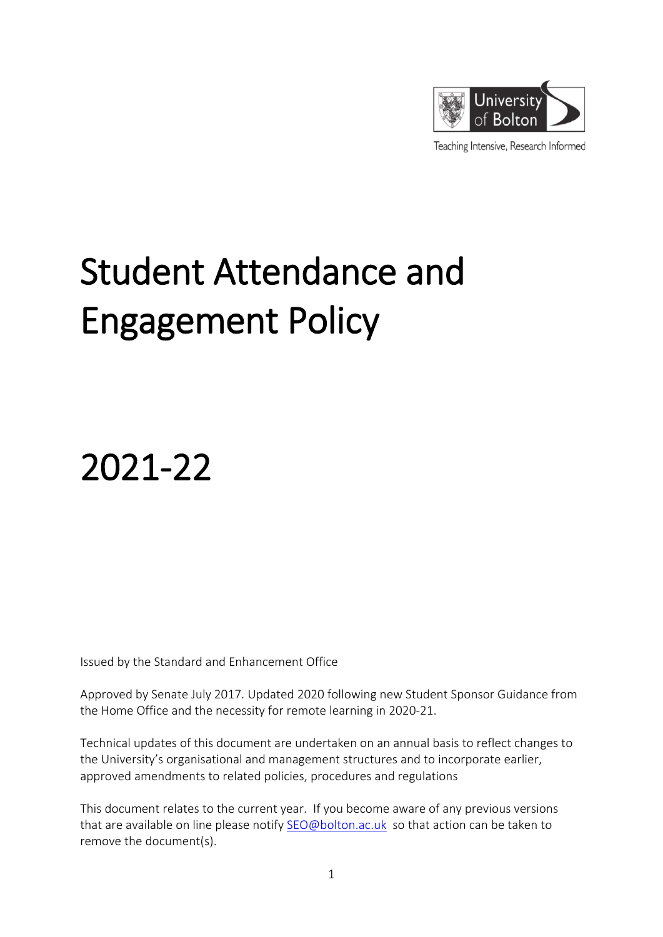

Teaching Intensive, Research Informed

# Student Attendance and Engagement Policy

2021-22

Issued by the Standard and Enhancement Office

Approved by Senate July 2017. Updated 2020 following new Student Sponsor Guidance from the Home Office and the necessity for remote learning in 2020-21.

Technical updates of this document are undertaken on an annual basis to reflect changes to the University's organisational and management structures and to incorporate earlier, approved amendments to related policies, procedures and regulations

This document relates to the current year. If you become aware of any previous versions that are available on line please notify [SEO@bolton.ac.uk](mailto:SEO@bolton.ac.uk) so that action can be taken to remove the document(s).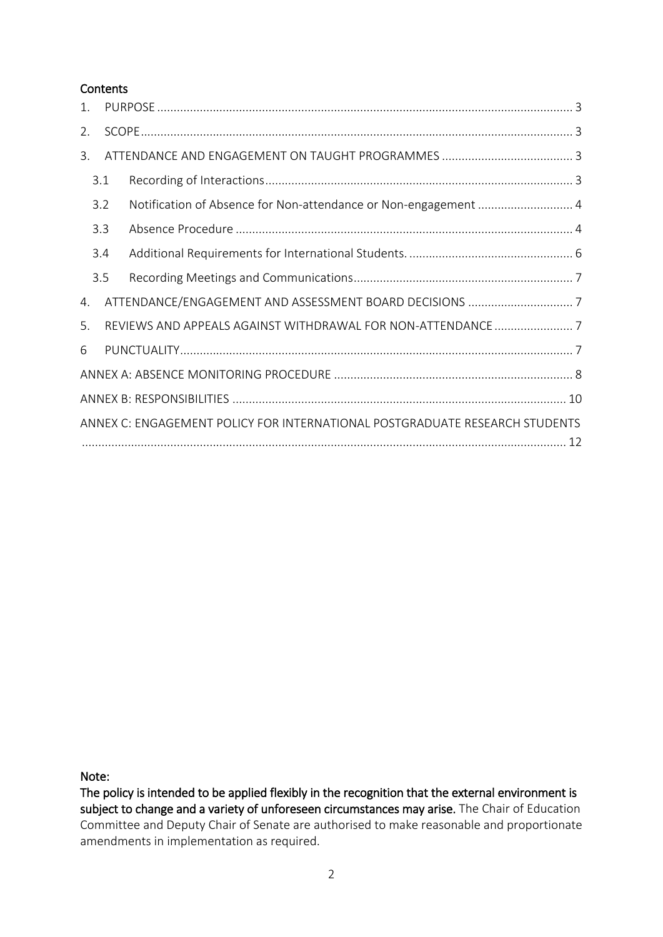#### **Contents**

| 1.                                                                          |     |  |  |  |  |  |
|-----------------------------------------------------------------------------|-----|--|--|--|--|--|
| 2.                                                                          |     |  |  |  |  |  |
| 3.                                                                          |     |  |  |  |  |  |
|                                                                             | 3.1 |  |  |  |  |  |
| 3.2<br>3.3                                                                  |     |  |  |  |  |  |
|                                                                             |     |  |  |  |  |  |
|                                                                             | 3.4 |  |  |  |  |  |
|                                                                             | 3.5 |  |  |  |  |  |
| 4.                                                                          |     |  |  |  |  |  |
| 5.                                                                          |     |  |  |  |  |  |
| 6                                                                           |     |  |  |  |  |  |
|                                                                             |     |  |  |  |  |  |
|                                                                             |     |  |  |  |  |  |
| ANNEX C: ENGAGEMENT POLICY FOR INTERNATIONAL POSTGRADUATE RESEARCH STUDENTS |     |  |  |  |  |  |

Note:

The policy is intended to be applied flexibly in the recognition that the external environment is subject to change and a variety of unforeseen circumstances may arise. The Chair of Education Committee and Deputy Chair of Senate are authorised to make reasonable and proportionate amendments in implementation as required.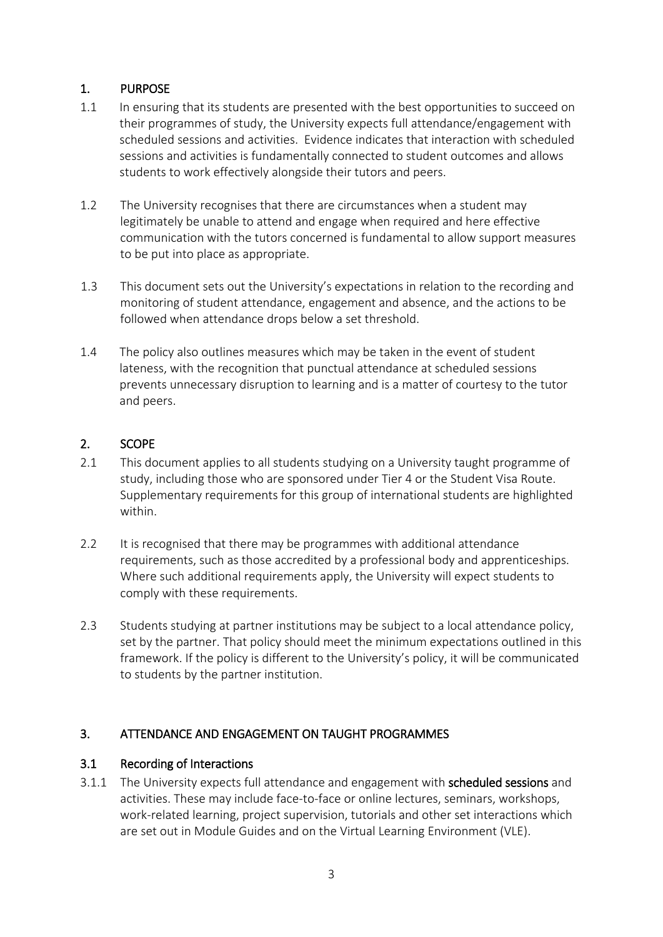# <span id="page-2-0"></span>1. PURPOSE

- 1.1 In ensuring that its students are presented with the best opportunities to succeed on their programmes of study, the University expects full attendance/engagement with scheduled sessions and activities. Evidence indicates that interaction with scheduled sessions and activities is fundamentally connected to student outcomes and allows students to work effectively alongside their tutors and peers.
- 1.2 The University recognises that there are circumstances when a student may legitimately be unable to attend and engage when required and here effective communication with the tutors concerned is fundamental to allow support measures to be put into place as appropriate.
- 1.3 This document sets out the University's expectations in relation to the recording and monitoring of student attendance, engagement and absence, and the actions to be followed when attendance drops below a set threshold.
- 1.4 The policy also outlines measures which may be taken in the event of student lateness, with the recognition that punctual attendance at scheduled sessions prevents unnecessary disruption to learning and is a matter of courtesy to the tutor and peers.

## <span id="page-2-1"></span>2. SCOPE

- 2.1 This document applies to all students studying on a University taught programme of study, including those who are sponsored under Tier 4 or the Student Visa Route. Supplementary requirements for this group of international students are highlighted within.
- 2.2 It is recognised that there may be programmes with additional attendance requirements, such as those accredited by a professional body and apprenticeships. Where such additional requirements apply, the University will expect students to comply with these requirements.
- 2.3 Students studying at partner institutions may be subject to a local attendance policy, set by the partner. That policy should meet the minimum expectations outlined in this framework. If the policy is different to the University's policy, it will be communicated to students by the partner institution.

#### <span id="page-2-2"></span>3. ATTENDANCE AND ENGAGEMENT ON TAUGHT PROGRAMMES

#### <span id="page-2-3"></span>3.1 Recording of Interactions

3.1.1 The University expects full attendance and engagement with scheduled sessions and activities. These may include face-to-face or online lectures, seminars, workshops, work-related learning, project supervision, tutorials and other set interactions which are set out in Module Guides and on the Virtual Learning Environment (VLE).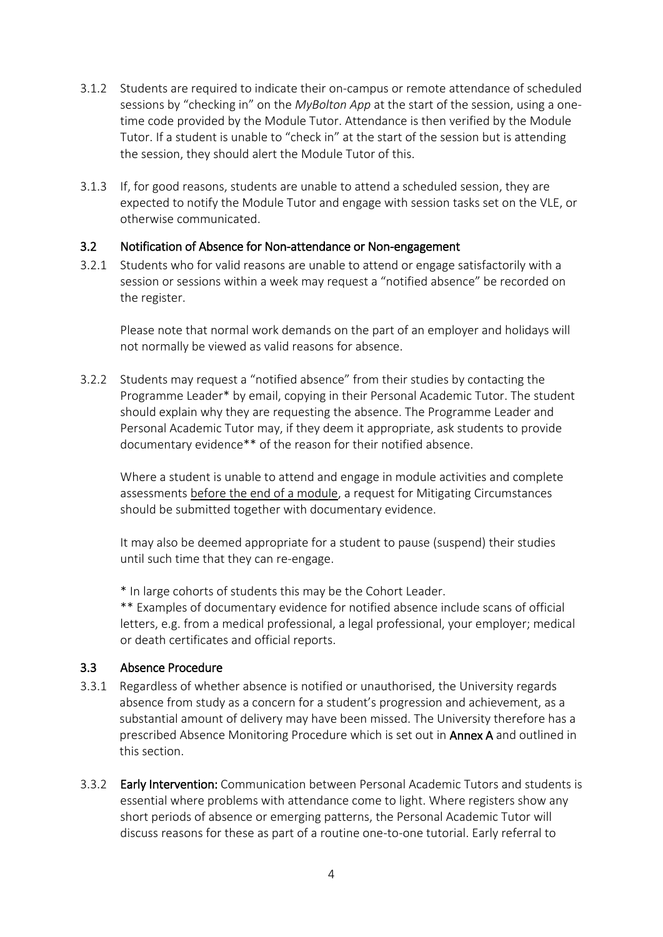- 3.1.2 Students are required to indicate their on-campus or remote attendance of scheduled sessions by "checking in" on the *MyBolton App* at the start of the session, using a onetime code provided by the Module Tutor. Attendance is then verified by the Module Tutor. If a student is unable to "check in" at the start of the session but is attending the session, they should alert the Module Tutor of this.
- 3.1.3 If, for good reasons, students are unable to attend a scheduled session, they are expected to notify the Module Tutor and engage with session tasks set on the VLE, or otherwise communicated.

#### <span id="page-3-0"></span>3.2 Notification of Absence for Non-attendance or Non-engagement

3.2.1 Students who for valid reasons are unable to attend or engage satisfactorily with a session or sessions within a week may request a "notified absence" be recorded on the register.

Please note that normal work demands on the part of an employer and holidays will not normally be viewed as valid reasons for absence.

3.2.2 Students may request a "notified absence" from their studies by contacting the Programme Leader\* by email, copying in their Personal Academic Tutor. The student should explain why they are requesting the absence. The Programme Leader and Personal Academic Tutor may, if they deem it appropriate, ask students to provide documentary evidence\*\* of the reason for their notified absence.

Where a student is unable to attend and engage in module activities and complete assessments before the end of a module, a request for Mitigating Circumstances should be submitted together with documentary evidence.

It may also be deemed appropriate for a student to pause (suspend) their studies until such time that they can re-engage.

\* In large cohorts of students this may be the Cohort Leader.

\*\* Examples of documentary evidence for notified absence include scans of official letters, e.g. from a medical professional, a legal professional, your employer; medical or death certificates and official reports.

#### <span id="page-3-1"></span>3.3 Absence Procedure

- 3.3.1 Regardless of whether absence is notified or unauthorised, the University regards absence from study as a concern for a student's progression and achievement, as a substantial amount of delivery may have been missed. The University therefore has a prescribed Absence Monitoring Procedure which is set out in Annex A and outlined in this section.
- 3.3.2 Early Intervention: Communication between Personal Academic Tutors and students is essential where problems with attendance come to light. Where registers show any short periods of absence or emerging patterns, the Personal Academic Tutor will discuss reasons for these as part of a routine one-to-one tutorial. Early referral to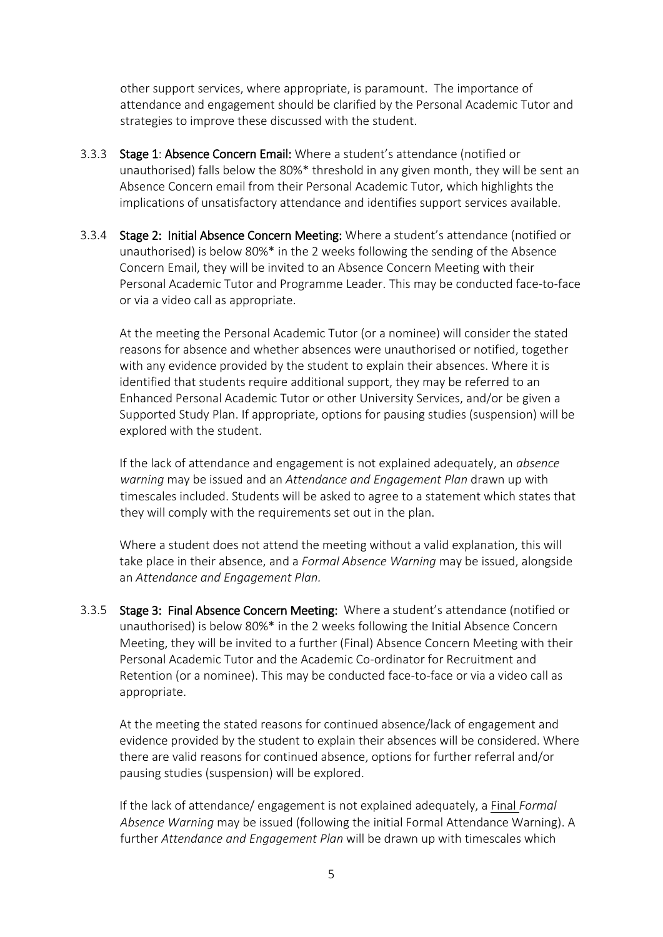other support services, where appropriate, is paramount. The importance of attendance and engagement should be clarified by the Personal Academic Tutor and strategies to improve these discussed with the student.

- 3.3.3 Stage 1: Absence Concern Email: Where a student's attendance (notified or unauthorised) falls below the 80%\* threshold in any given month, they will be sent an Absence Concern email from their Personal Academic Tutor, which highlights the implications of unsatisfactory attendance and identifies support services available.
- 3.3.4 Stage 2: Initial Absence Concern Meeting: Where a student's attendance (notified or unauthorised) is below 80%\* in the 2 weeks following the sending of the Absence Concern Email, they will be invited to an Absence Concern Meeting with their Personal Academic Tutor and Programme Leader. This may be conducted face-to-face or via a video call as appropriate.

At the meeting the Personal Academic Tutor (or a nominee) will consider the stated reasons for absence and whether absences were unauthorised or notified, together with any evidence provided by the student to explain their absences. Where it is identified that students require additional support, they may be referred to an Enhanced Personal Academic Tutor or other University Services, and/or be given a Supported Study Plan. If appropriate, options for pausing studies (suspension) will be explored with the student.

If the lack of attendance and engagement is not explained adequately, an *absence warning* may be issued and an *Attendance and Engagement Plan* drawn up with timescales included. Students will be asked to agree to a statement which states that they will comply with the requirements set out in the plan.

Where a student does not attend the meeting without a valid explanation, this will take place in their absence, and a *Formal Absence Warning* may be issued, alongside an *Attendance and Engagement Plan.* 

3.3.5 Stage 3: Final Absence Concern Meeting: Where a student's attendance (notified or unauthorised) is below 80%\* in the 2 weeks following the Initial Absence Concern Meeting, they will be invited to a further (Final) Absence Concern Meeting with their Personal Academic Tutor and the Academic Co-ordinator for Recruitment and Retention (or a nominee). This may be conducted face-to-face or via a video call as appropriate.

At the meeting the stated reasons for continued absence/lack of engagement and evidence provided by the student to explain their absences will be considered. Where there are valid reasons for continued absence, options for further referral and/or pausing studies (suspension) will be explored.

If the lack of attendance/ engagement is not explained adequately, a Final *Formal Absence Warning* may be issued (following the initial Formal Attendance Warning). A further *Attendance and Engagement Plan* will be drawn up with timescales which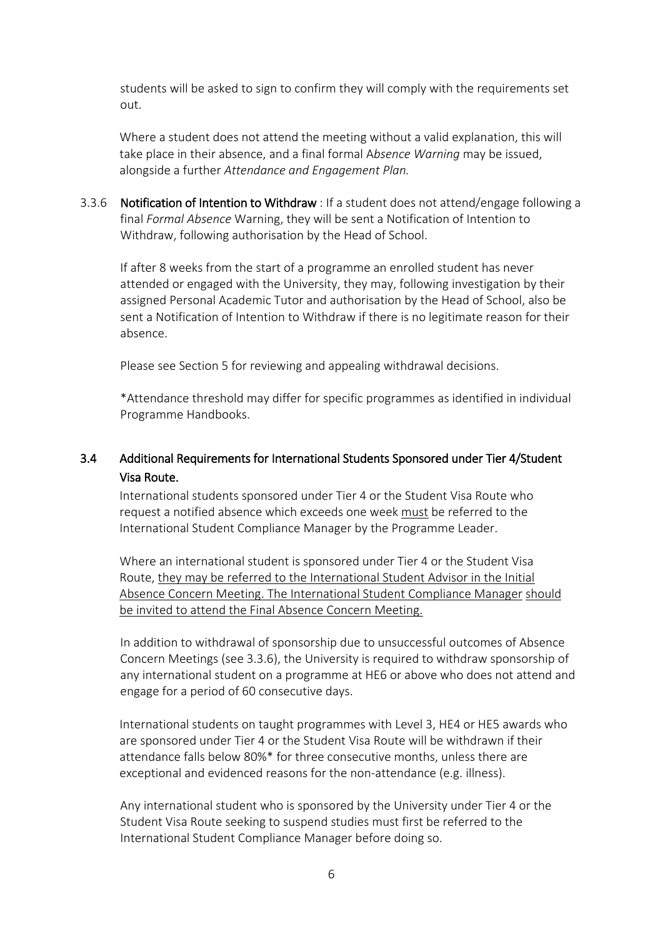students will be asked to sign to confirm they will comply with the requirements set out.

Where a student does not attend the meeting without a valid explanation, this will take place in their absence, and a final formal A*bsence Warning* may be issued, alongside a further *Attendance and Engagement Plan.* 

3.3.6 Notification of Intention to Withdraw : If a student does not attend/engage following a final *Formal Absence* Warning, they will be sent a Notification of Intention to Withdraw, following authorisation by the Head of School.

If after 8 weeks from the start of a programme an enrolled student has never attended or engaged with the University, they may, following investigation by their assigned Personal Academic Tutor and authorisation by the Head of School, also be sent a Notification of Intention to Withdraw if there is no legitimate reason for their absence.

Please see Section 5 for reviewing and appealing withdrawal decisions.

\*Attendance threshold may differ for specific programmes as identified in individual Programme Handbooks.

# <span id="page-5-0"></span>3.4 Additional Requirements for International Students Sponsored under Tier 4/Student Visa Route.

International students sponsored under Tier 4 or the Student Visa Route who request a notified absence which exceeds one week must be referred to the International Student Compliance Manager by the Programme Leader.

Where an international student is sponsored under Tier 4 or the Student Visa Route, they may be referred to the International Student Advisor in the Initial Absence Concern Meeting. The International Student Compliance Manager should be invited to attend the Final Absence Concern Meeting.

In addition to withdrawal of sponsorship due to unsuccessful outcomes of Absence Concern Meetings (see 3.3.6), the University is required to withdraw sponsorship of any international student on a programme at HE6 or above who does not attend and engage for a period of 60 consecutive days.

International students on taught programmes with Level 3, HE4 or HE5 awards who are sponsored under Tier 4 or the Student Visa Route will be withdrawn if their attendance falls below 80%\* for three consecutive months, unless there are exceptional and evidenced reasons for the non-attendance (e.g. illness).

Any international student who is sponsored by the University under Tier 4 or the Student Visa Route seeking to suspend studies must first be referred to the International Student Compliance Manager before doing so.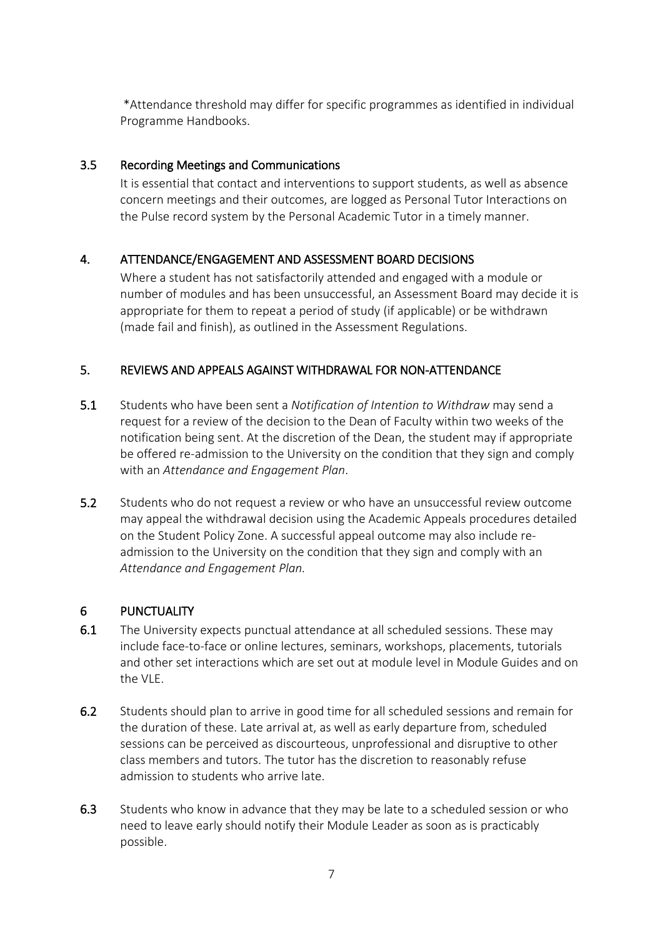\*Attendance threshold may differ for specific programmes as identified in individual Programme Handbooks.

## <span id="page-6-0"></span>3.5 Recording Meetings and Communications

It is essential that contact and interventions to support students, as well as absence concern meetings and their outcomes, are logged as Personal Tutor Interactions on the Pulse record system by the Personal Academic Tutor in a timely manner.

## <span id="page-6-1"></span>4. ATTENDANCE/ENGAGEMENT AND ASSESSMENT BOARD DECISIONS

Where a student has not satisfactorily attended and engaged with a module or number of modules and has been unsuccessful, an Assessment Board may decide it is appropriate for them to repeat a period of study (if applicable) or be withdrawn (made fail and finish), as outlined in the Assessment Regulations.

## <span id="page-6-2"></span>5. REVIEWS AND APPEALS AGAINST WITHDRAWAL FOR NON-ATTENDANCE

- 5.1 Students who have been sent a *Notification of Intention to Withdraw* may send a request for a review of the decision to the Dean of Faculty within two weeks of the notification being sent. At the discretion of the Dean, the student may if appropriate be offered re-admission to the University on the condition that they sign and comply with an *Attendance and Engagement Plan*.
- 5.2 Students who do not request a review or who have an unsuccessful review outcome may appeal the withdrawal decision using the Academic Appeals procedures detailed on the Student Policy Zone. A successful appeal outcome may also include readmission to the University on the condition that they sign and comply with an *Attendance and Engagement Plan.*

#### <span id="page-6-3"></span>6 PUNCTUALITY

- 6.1 The University expects punctual attendance at all scheduled sessions. These may include face-to-face or online lectures, seminars, workshops, placements, tutorials and other set interactions which are set out at module level in Module Guides and on the VLE.
- 6.2 Students should plan to arrive in good time for all scheduled sessions and remain for the duration of these. Late arrival at, as well as early departure from, scheduled sessions can be perceived as discourteous, unprofessional and disruptive to other class members and tutors. The tutor has the discretion to reasonably refuse admission to students who arrive late.
- 6.3 Students who know in advance that they may be late to a scheduled session or who need to leave early should notify their Module Leader as soon as is practicably possible.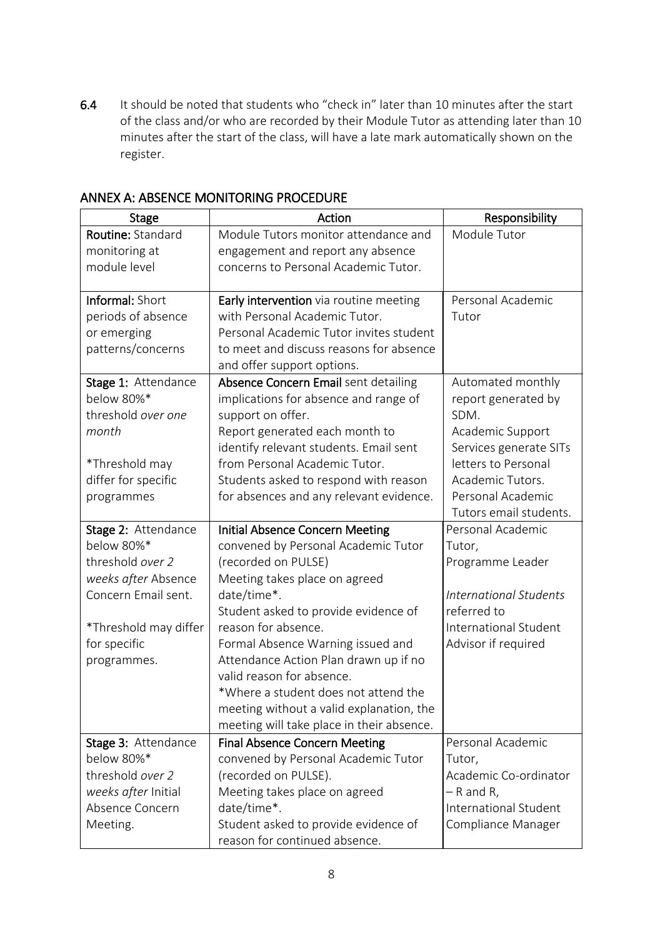6.4 It should be noted that students who "check in" later than 10 minutes after the start of the class and/or who are recorded by their Module Tutor as attending later than 10 minutes after the start of the class, will have a late mark automatically shown on the register.

| <b>Stage</b>          | Action                                                                  | Responsibility                |
|-----------------------|-------------------------------------------------------------------------|-------------------------------|
| Routine: Standard     | Module Tutors monitor attendance and                                    | Module Tutor                  |
| monitoring at         | engagement and report any absence                                       |                               |
| module level          | concerns to Personal Academic Tutor.                                    |                               |
| Informal: Short       |                                                                         | Personal Academic             |
| periods of absence    | Early intervention via routine meeting<br>with Personal Academic Tutor. | Tutor                         |
| or emerging           | Personal Academic Tutor invites student                                 |                               |
| patterns/concerns     | to meet and discuss reasons for absence                                 |                               |
|                       | and offer support options.                                              |                               |
| Stage 1: Attendance   | Absence Concern Email sent detailing                                    | Automated monthly             |
| below 80%*            | implications for absence and range of                                   | report generated by           |
| threshold over one    | support on offer.                                                       | SDM.                          |
| month                 | Report generated each month to                                          | Academic Support              |
|                       | identify relevant students. Email sent                                  | Services generate SITs        |
| *Threshold may        | from Personal Academic Tutor.                                           | letters to Personal           |
| differ for specific   | Students asked to respond with reason                                   | Academic Tutors.              |
| programmes            | for absences and any relevant evidence.                                 | Personal Academic             |
|                       |                                                                         | Tutors email students.        |
| Stage 2: Attendance   | <b>Initial Absence Concern Meeting</b>                                  | Personal Academic             |
| below 80%*            | convened by Personal Academic Tutor                                     | Tutor,                        |
| threshold over 2      | (recorded on PULSE)                                                     | Programme Leader              |
| weeks after Absence   | Meeting takes place on agreed                                           |                               |
| Concern Email sent.   | date/time*.                                                             | <b>International Students</b> |
|                       | Student asked to provide evidence of                                    | referred to                   |
| *Threshold may differ | reason for absence.                                                     | <b>International Student</b>  |
| for specific          | Formal Absence Warning issued and                                       | Advisor if required           |
| programmes.           | Attendance Action Plan drawn up if no<br>valid reason for absence.      |                               |
|                       | *Where a student does not attend the                                    |                               |
|                       | meeting without a valid explanation, the                                |                               |
|                       | meeting will take place in their absence.                               |                               |
| Stage 3: Attendance   | <b>Final Absence Concern Meeting</b>                                    | Personal Academic             |
| below 80%*            | convened by Personal Academic Tutor                                     | Tutor,                        |
| threshold over 2      | (recorded on PULSE).                                                    | Academic Co-ordinator         |
| weeks after Initial   | Meeting takes place on agreed                                           | - R and R,                    |
| Absence Concern       | date/time*.                                                             | International Student         |
| Meeting.              | Student asked to provide evidence of                                    | Compliance Manager            |
|                       | reason for continued absence.                                           |                               |

# <span id="page-7-0"></span>ANNEX A: ABSENCE MONITORING PROCEDURE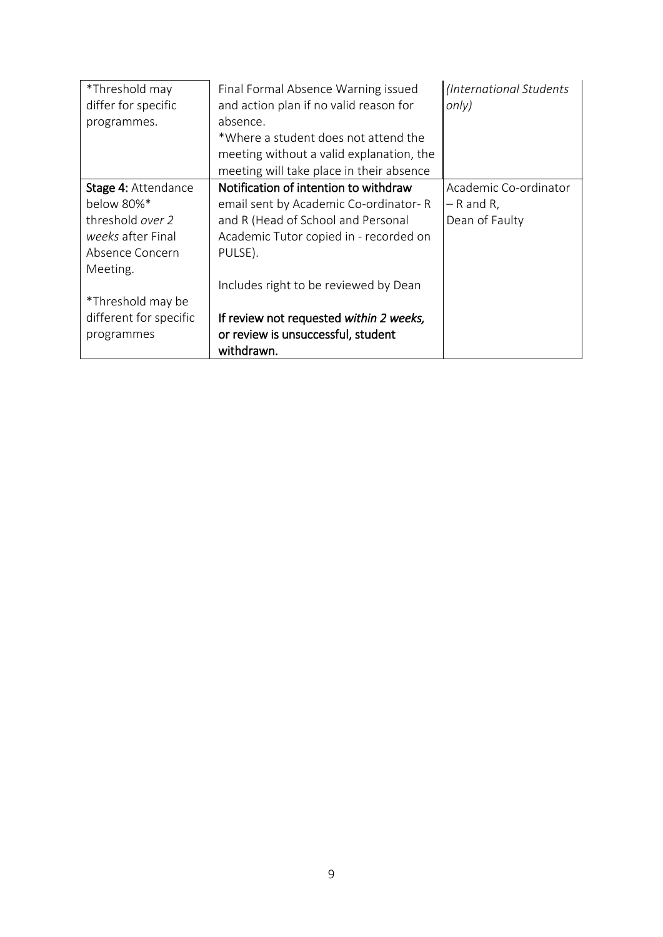| *Threshold may         | Final Formal Absence Warning issued      | (International Students |
|------------------------|------------------------------------------|-------------------------|
| differ for specific    | and action plan if no valid reason for   | only)                   |
| programmes.            | absence.                                 |                         |
|                        | *Where a student does not attend the     |                         |
|                        | meeting without a valid explanation, the |                         |
|                        | meeting will take place in their absence |                         |
| Stage 4: Attendance    | Notification of intention to withdraw    | Academic Co-ordinator   |
| below 80%*             | email sent by Academic Co-ordinator-R    | $-$ R and R,            |
| threshold over 2       | and R (Head of School and Personal       | Dean of Faulty          |
| weeks after Final      | Academic Tutor copied in - recorded on   |                         |
| Absence Concern        | PULSE).                                  |                         |
| Meeting.               |                                          |                         |
|                        | Includes right to be reviewed by Dean    |                         |
| *Threshold may be      |                                          |                         |
| different for specific | If review not requested within 2 weeks,  |                         |
| programmes             | or review is unsuccessful, student       |                         |
|                        | withdrawn.                               |                         |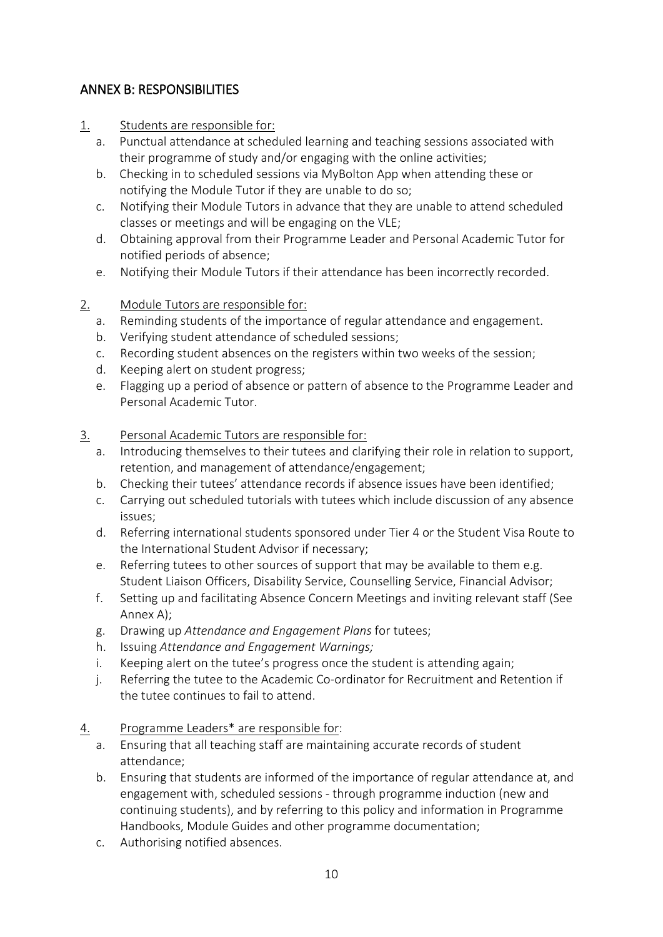# <span id="page-9-0"></span>ANNEX B: RESPONSIBILITIES

- 1. Students are responsible for:
	- a. Punctual attendance at scheduled learning and teaching sessions associated with their programme of study and/or engaging with the online activities;
	- b. Checking in to scheduled sessions via MyBolton App when attending these or notifying the Module Tutor if they are unable to do so;
	- c. Notifying their Module Tutors in advance that they are unable to attend scheduled classes or meetings and will be engaging on the VLE;
	- d. Obtaining approval from their Programme Leader and Personal Academic Tutor for notified periods of absence;
	- e. Notifying their Module Tutors if their attendance has been incorrectly recorded.

# 2. Module Tutors are responsible for:

- a. Reminding students of the importance of regular attendance and engagement.
- b. Verifying student attendance of scheduled sessions;
- c. Recording student absences on the registers within two weeks of the session;
- d. Keeping alert on student progress;
- e. Flagging up a period of absence or pattern of absence to the Programme Leader and Personal Academic Tutor.

## 3. Personal Academic Tutors are responsible for:

- a. Introducing themselves to their tutees and clarifying their role in relation to support, retention, and management of attendance/engagement;
- b. Checking their tutees' attendance records if absence issues have been identified;
- c. Carrying out scheduled tutorials with tutees which include discussion of any absence issues;
- d. Referring international students sponsored under Tier 4 or the Student Visa Route to the International Student Advisor if necessary;
- e. Referring tutees to other sources of support that may be available to them e.g. Student Liaison Officers, Disability Service, Counselling Service, Financial Advisor;
- f. Setting up and facilitating Absence Concern Meetings and inviting relevant staff (See Annex A);
- g. Drawing up *Attendance and Engagement Plans* for tutees;
- h. Issuing *Attendance and Engagement Warnings;*
- i. Keeping alert on the tutee's progress once the student is attending again;
- j. Referring the tutee to the Academic Co-ordinator for Recruitment and Retention if the tutee continues to fail to attend.
- 4. Programme Leaders\* are responsible for:
	- a. Ensuring that all teaching staff are maintaining accurate records of student attendance;
	- b. Ensuring that students are informed of the importance of regular attendance at, and engagement with, scheduled sessions - through programme induction (new and continuing students), and by referring to this policy and information in Programme Handbooks, Module Guides and other programme documentation;
	- c. Authorising notified absences.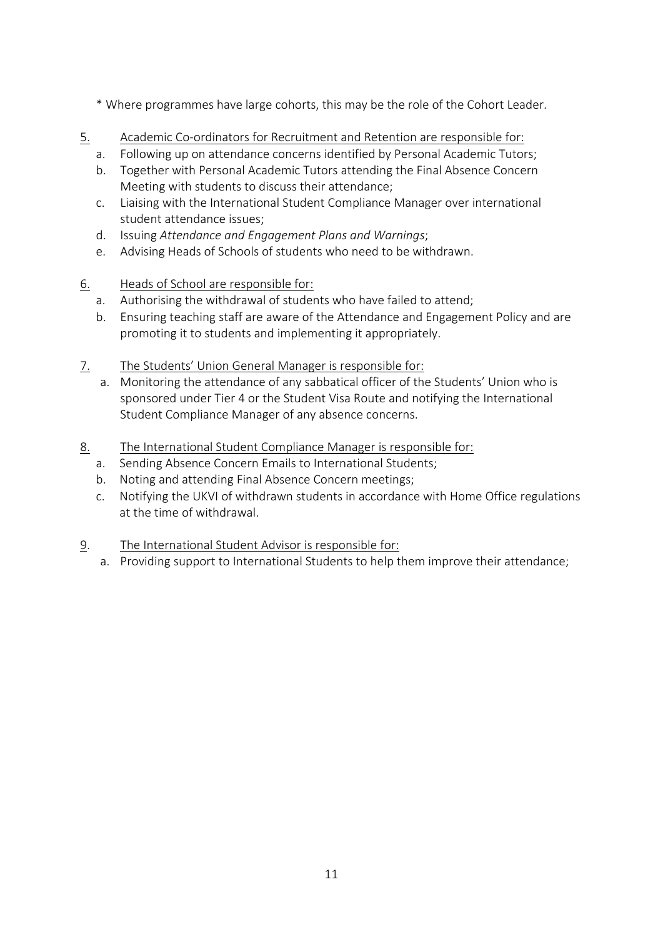- \* Where programmes have large cohorts, this may be the role of the Cohort Leader.
- 5. Academic Co-ordinators for Recruitment and Retention are responsible for:
	- a. Following up on attendance concerns identified by Personal Academic Tutors;
	- b. Together with Personal Academic Tutors attending the Final Absence Concern Meeting with students to discuss their attendance;
	- c. Liaising with the International Student Compliance Manager over international student attendance issues;
	- d. Issuing *Attendance and Engagement Plans and Warnings*;
	- e. Advising Heads of Schools of students who need to be withdrawn.
- 6. Heads of School are responsible for:
	- a. Authorising the withdrawal of students who have failed to attend;
	- b. Ensuring teaching staff are aware of the Attendance and Engagement Policy and are promoting it to students and implementing it appropriately.
- 7. The Students' Union General Manager is responsible for:
	- a. Monitoring the attendance of any sabbatical officer of the Students' Union who is sponsored under Tier 4 or the Student Visa Route and notifying the International Student Compliance Manager of any absence concerns.
- 8. The International Student Compliance Manager is responsible for:
	- a. Sending Absence Concern Emails to International Students;
	- b. Noting and attending Final Absence Concern meetings;
	- c. Notifying the UKVI of withdrawn students in accordance with Home Office regulations at the time of withdrawal.
- 9. The International Student Advisor is responsible for:
	- a. Providing support to International Students to help them improve their attendance;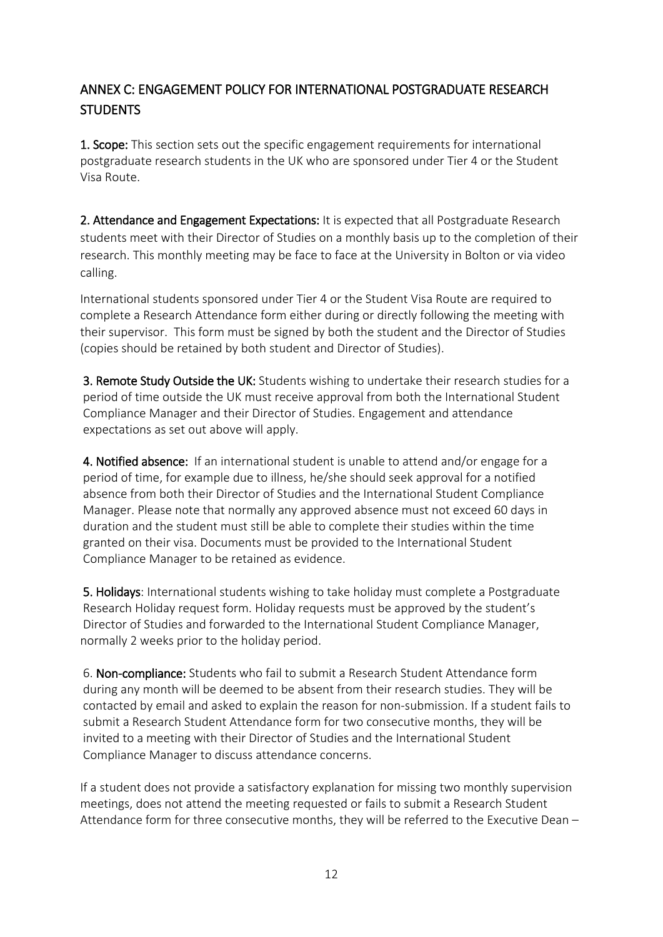# <span id="page-11-0"></span>ANNEX C: ENGAGEMENT POLICY FOR INTERNATIONAL POSTGRADUATE RESEARCH STUDENTS

1. Scope: This section sets out the specific engagement requirements for international postgraduate research students in the UK who are sponsored under Tier 4 or the Student Visa Route.

2. Attendance and Engagement Expectations: It is expected that all Postgraduate Research students meet with their Director of Studies on a monthly basis up to the completion of their research. This monthly meeting may be face to face at the University in Bolton or via video calling.

International students sponsored under Tier 4 or the Student Visa Route are required to complete a Research Attendance form either during or directly following the meeting with their supervisor. This form must be signed by both the student and the Director of Studies (copies should be retained by both student and Director of Studies).

3. Remote Study Outside the UK: Students wishing to undertake their research studies for a period of time outside the UK must receive approval from both the International Student Compliance Manager and their Director of Studies. Engagement and attendance expectations as set out above will apply.

4. Notified absence: If an international student is unable to attend and/or engage for a period of time, for example due to illness, he/she should seek approval for a notified absence from both their Director of Studies and the International Student Compliance Manager. Please note that normally any approved absence must not exceed 60 days in duration and the student must still be able to complete their studies within the time granted on their visa. Documents must be provided to the International Student Compliance Manager to be retained as evidence.

5. Holidays: International students wishing to take holiday must complete a Postgraduate Research Holiday request form. Holiday requests must be approved by the student's Director of Studies and forwarded to the International Student Compliance Manager, normally 2 weeks prior to the holiday period.

6. Non-compliance: Students who fail to submit a Research Student Attendance form during any month will be deemed to be absent from their research studies. They will be contacted by email and asked to explain the reason for non-submission. If a student fails to submit a Research Student Attendance form for two consecutive months, they will be invited to a meeting with their Director of Studies and the International Student Compliance Manager to discuss attendance concerns.

If a student does not provide a satisfactory explanation for missing two monthly supervision meetings, does not attend the meeting requested or fails to submit a Research Student Attendance form for three consecutive months, they will be referred to the Executive Dean –